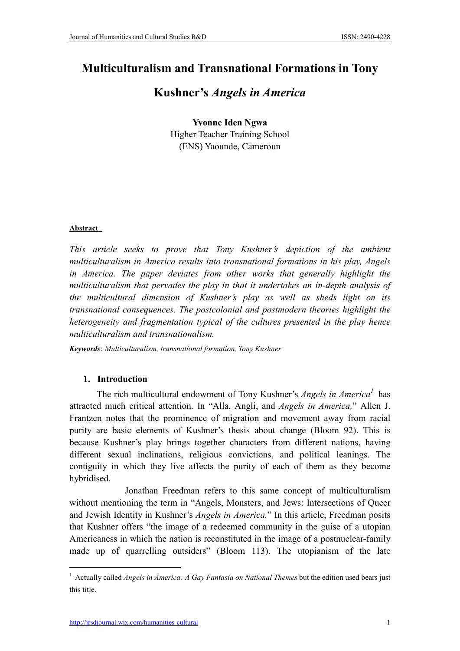# Multiculturalism and Transnational Formations in Tony

## Kushner's *Angels in America*

## Yvonne Iden Ngwa Higher Teacher Training School (ENS) Yaounde, Cameroun

## Abstract

*This article seeks to prove that Tony Kushner's depiction of the ambient multiculturalism in America results into transnational formations in his play, Angels in America. The paper deviates from other works that generally highlight the multiculturalism that pervades the play in that it undertakes an in-depth analysis of the multicultural dimension of Kushner's play as well as sheds light on its transnational consequences. The postcolonial and postmodern theories highlight the heterogeneity and fragmentation typical of the cultures presented in the play hence multiculturalism and transnationalism.* 

*Keywords*: *Multiculturalism, transnational formation, Tony Kushner*

## 1. Introduction

The rich multicultural endowment of Tony Kushner's *Angels in America<sup>1</sup>* has attracted much critical attention. In "Alla, Angli, and *Angels in America,*" Allen J. Frantzen notes that the prominence of migration and movement away from racial purity are basic elements of Kushner's thesis about change (Bloom 92). This is because Kushner's play brings together characters from different nations, having different sexual inclinations, religious convictions, and political leanings. The contiguity in which they live affects the purity of each of them as they become hybridised.

 Jonathan Freedman refers to this same concept of multiculturalism without mentioning the term in "Angels, Monsters, and Jews: Intersections of Queer and Jewish Identity in Kushner's *Angels in America.*" In this article, Freedman posits that Kushner offers "the image of a redeemed community in the guise of a utopian Americaness in which the nation is reconstituted in the image of a postnuclear-family made up of quarrelling outsiders" (Bloom 113). The utopianism of the late

<sup>&</sup>lt;sup>1</sup> Actually called *Angels in America: A Gay Fantasia on National Themes* but the edition used bears just this title.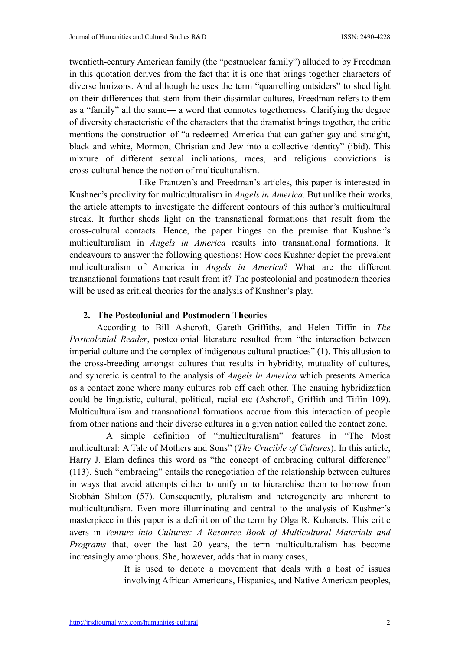twentieth-century American family (the "postnuclear family") alluded to by Freedman in this quotation derives from the fact that it is one that brings together characters of diverse horizons. And although he uses the term "quarrelling outsiders" to shed light on their differences that stem from their dissimilar cultures, Freedman refers to them as a "family" all the same― a word that connotes togetherness. Clarifying the degree of diversity characteristic of the characters that the dramatist brings together, the critic mentions the construction of "a redeemed America that can gather gay and straight, black and white, Mormon, Christian and Jew into a collective identity" (ibid). This mixture of different sexual inclinations, races, and religious convictions is cross-cultural hence the notion of multiculturalism.

 Like Frantzen's and Freedman's articles, this paper is interested in Kushner's proclivity for multiculturalism in *Angels in America*. But unlike their works, the article attempts to investigate the different contours of this author's multicultural streak. It further sheds light on the transnational formations that result from the cross-cultural contacts. Hence, the paper hinges on the premise that Kushner's multiculturalism in *Angels in America* results into transnational formations. It endeavours to answer the following questions: How does Kushner depict the prevalent multiculturalism of America in *Angels in America*? What are the different transnational formations that result from it? The postcolonial and postmodern theories will be used as critical theories for the analysis of Kushner's play.

## 2. The Postcolonial and Postmodern Theories

According to Bill Ashcroft, Gareth Griffiths, and Helen Tiffin in *The Postcolonial Reader*, postcolonial literature resulted from "the interaction between imperial culture and the complex of indigenous cultural practices" (1). This allusion to the cross-breeding amongst cultures that results in hybridity, mutuality of cultures, and syncretic is central to the analysis of *Angels in America* which presents America as a contact zone where many cultures rob off each other. The ensuing hybridization could be linguistic, cultural, political, racial etc (Ashcroft, Griffith and Tiffin 109). Multiculturalism and transnational formations accrue from this interaction of people from other nations and their diverse cultures in a given nation called the contact zone.

 A simple definition of "multiculturalism" features in "The Most multicultural: A Tale of Mothers and Sons" (*The Crucible of Cultures*). In this article, Harry J. Elam defines this word as "the concept of embracing cultural difference" (113). Such "embracing" entails the renegotiation of the relationship between cultures in ways that avoid attempts either to unify or to hierarchise them to borrow from Siobhán Shilton (57). Consequently, pluralism and heterogeneity are inherent to multiculturalism. Even more illuminating and central to the analysis of Kushner's masterpiece in this paper is a definition of the term by Olga R. Kuharets. This critic avers in *Venture into Cultures: A Resource Book of Multicultural Materials and Programs* that, over the last 20 years, the term multiculturalism has become increasingly amorphous. She, however, adds that in many cases,

> It is used to denote a movement that deals with a host of issues involving African Americans, Hispanics, and Native American peoples,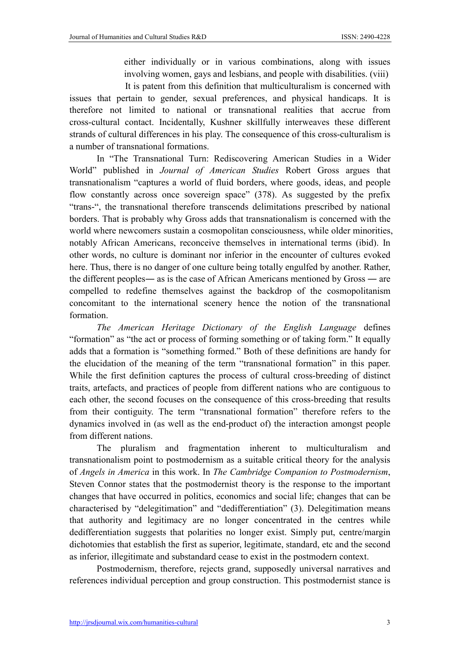either individually or in various combinations, along with issues involving women, gays and lesbians, and people with disabilities. (viii)

 It is patent from this definition that multiculturalism is concerned with issues that pertain to gender, sexual preferences, and physical handicaps. It is therefore not limited to national or transnational realities that accrue from cross-cultural contact. Incidentally, Kushner skillfully interweaves these different strands of cultural differences in his play. The consequence of this cross-culturalism is a number of transnational formations.

In "The Transnational Turn: Rediscovering American Studies in a Wider World" published in *Journal of American Studies* Robert Gross argues that transnationalism "captures a world of fluid borders, where goods, ideas, and people flow constantly across once sovereign space" (378). As suggested by the prefix "trans-", the transnational therefore transcends delimitations prescribed by national borders. That is probably why Gross adds that transnationalism is concerned with the world where newcomers sustain a cosmopolitan consciousness, while older minorities, notably African Americans, reconceive themselves in international terms (ibid). In other words, no culture is dominant nor inferior in the encounter of cultures evoked here. Thus, there is no danger of one culture being totally engulfed by another. Rather, the different peoples― as is the case of African Americans mentioned by Gross ― are compelled to redefine themselves against the backdrop of the cosmopolitanism concomitant to the international scenery hence the notion of the transnational formation.

*The American Heritage Dictionary of the English Language* defines "formation" as "the act or process of forming something or of taking form." It equally adds that a formation is "something formed." Both of these definitions are handy for the elucidation of the meaning of the term "transnational formation" in this paper. While the first definition captures the process of cultural cross-breeding of distinct traits, artefacts, and practices of people from different nations who are contiguous to each other, the second focuses on the consequence of this cross-breeding that results from their contiguity. The term "transnational formation" therefore refers to the dynamics involved in (as well as the end-product of) the interaction amongst people from different nations.

The pluralism and fragmentation inherent to multiculturalism and transnationalism point to postmodernism as a suitable critical theory for the analysis of *Angels in America* in this work. In *The Cambridge Companion to Postmodernism*, Steven Connor states that the postmodernist theory is the response to the important changes that have occurred in politics, economics and social life; changes that can be characterised by "delegitimation" and "dedifferentiation" (3). Delegitimation means that authority and legitimacy are no longer concentrated in the centres while dedifferentiation suggests that polarities no longer exist. Simply put, centre/margin dichotomies that establish the first as superior, legitimate, standard, etc and the second as inferior, illegitimate and substandard cease to exist in the postmodern context.

Postmodernism, therefore, rejects grand, supposedly universal narratives and references individual perception and group construction. This postmodernist stance is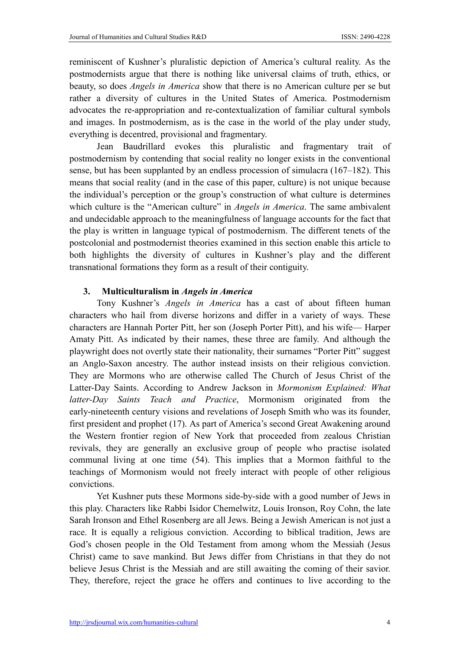reminiscent of Kushner's pluralistic depiction of America's cultural reality. As the postmodernists argue that there is nothing like universal claims of truth, ethics, or beauty, so does *Angels in America* show that there is no American culture per se but rather a diversity of cultures in the United States of America. Postmodernism advocates the re-appropriation and re-contextualization of familiar cultural symbols and images. In postmodernism, as is the case in the world of the play under study, everything is decentred, provisional and fragmentary.

Jean Baudrillard evokes this pluralistic and fragmentary trait of postmodernism by contending that social reality no longer exists in the conventional sense, but has been supplanted by an endless procession of simulacra (167–182). This means that social reality (and in the case of this paper, culture) is not unique because the individual's perception or the group's construction of what culture is determines which culture is the "American culture" in *Angels in America*. The same ambivalent and undecidable approach to the meaningfulness of language accounts for the fact that the play is written in language typical of postmodernism. The different tenets of the postcolonial and postmodernist theories examined in this section enable this article to both highlights the diversity of cultures in Kushner's play and the different transnational formations they form as a result of their contiguity.

## 3. Multiculturalism in *Angels in America*

Tony Kushner's *Angels in America* has a cast of about fifteen human characters who hail from diverse horizons and differ in a variety of ways. These characters are Hannah Porter Pitt, her son (Joseph Porter Pitt), and his wife— Harper Amaty Pitt. As indicated by their names, these three are family. And although the playwright does not overtly state their nationality, their surnames "Porter Pitt" suggest an Anglo-Saxon ancestry. The author instead insists on their religious conviction. They are Mormons who are otherwise called The Church of Jesus Christ of the Latter-Day Saints. According to Andrew Jackson in *Mormonism Explained: What latter-Day Saints Teach and Practice*, Mormonism originated from the early-nineteenth century visions and revelations of Joseph Smith who was its founder, first president and prophet (17). As part of America's second Great Awakening around the Western frontier region of New York that proceeded from zealous Christian revivals, they are generally an exclusive group of people who practise isolated communal living at one time (54). This implies that a Mormon faithful to the teachings of Mormonism would not freely interact with people of other religious convictions.

Yet Kushner puts these Mormons side-by-side with a good number of Jews in this play. Characters like Rabbi Isidor Chemelwitz, Louis Ironson, Roy Cohn, the late Sarah Ironson and Ethel Rosenberg are all Jews. Being a Jewish American is not just a race. It is equally a religious conviction. According to biblical tradition, Jews are God's chosen people in the Old Testament from among whom the Messiah (Jesus Christ) came to save mankind. But Jews differ from Christians in that they do not believe Jesus Christ is the Messiah and are still awaiting the coming of their savior. They, therefore, reject the grace he offers and continues to live according to the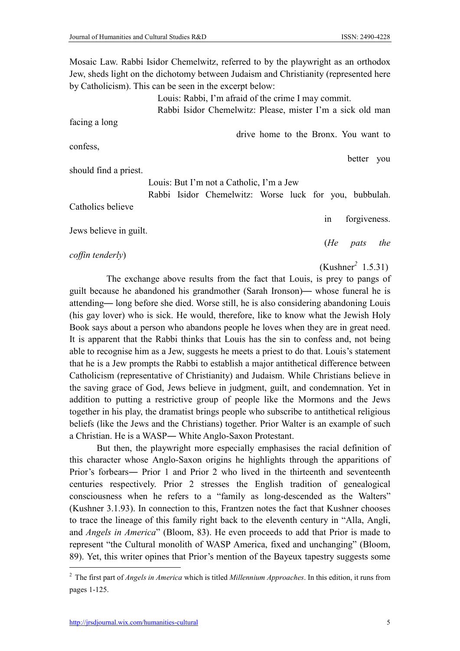Mosaic Law. Rabbi Isidor Chemelwitz, referred to by the playwright as an orthodox Jew, sheds light on the dichotomy between Judaism and Christianity (represented here by Catholicism). This can be seen in the excerpt below:

Louis: Rabbi, I'm afraid of the crime I may commit.

Rabbi Isidor Chemelwitz: Please, mister I'm a sick old man

facing a long

confess,

drive home to the Bronx. You want to

should find a priest.

Louis: But I'm not a Catholic, I'm a Jew

 Rabbi Isidor Chemelwitz: Worse luck for you, bubbulah. Catholics believe in forgiveness. Jews believe in guilt.

 (*He pats the coffin tenderly*)

(Kushner*<sup>2</sup>* 1.5.31)

 The exchange above results from the fact that Louis, is prey to pangs of guilt because he abandoned his grandmother (Sarah Ironson)— whose funeral he is attending— long before she died. Worse still, he is also considering abandoning Louis (his gay lover) who is sick. He would, therefore, like to know what the Jewish Holy Book says about a person who abandons people he loves when they are in great need. It is apparent that the Rabbi thinks that Louis has the sin to confess and, not being able to recognise him as a Jew, suggests he meets a priest to do that. Louis's statement that he is a Jew prompts the Rabbi to establish a major antithetical difference between Catholicism (representative of Christianity) and Judaism. While Christians believe in the saving grace of God, Jews believe in judgment, guilt, and condemnation. Yet in addition to putting a restrictive group of people like the Mormons and the Jews together in his play, the dramatist brings people who subscribe to antithetical religious beliefs (like the Jews and the Christians) together. Prior Walter is an example of such a Christian. He is a WASP― White Anglo-Saxon Protestant.

But then, the playwright more especially emphasises the racial definition of this character whose Anglo-Saxon origins he highlights through the apparitions of Prior's forbears― Prior 1 and Prior 2 who lived in the thirteenth and seventeenth centuries respectively. Prior 2 stresses the English tradition of genealogical consciousness when he refers to a "family as long-descended as the Walters" (Kushner 3.1.93). In connection to this, Frantzen notes the fact that Kushner chooses to trace the lineage of this family right back to the eleventh century in "Alla, Angli, and *Angels in America*" (Bloom, 83). He even proceeds to add that Prior is made to represent "the Cultural monolith of WASP America, fixed and unchanging" (Bloom, 89). Yet, this writer opines that Prior's mention of the Bayeux tapestry suggests some

better you

 <sup>2</sup> The first part of *Angels in America* which is titled *Millennium Approaches*. In this edition, it runs from pages 1-125.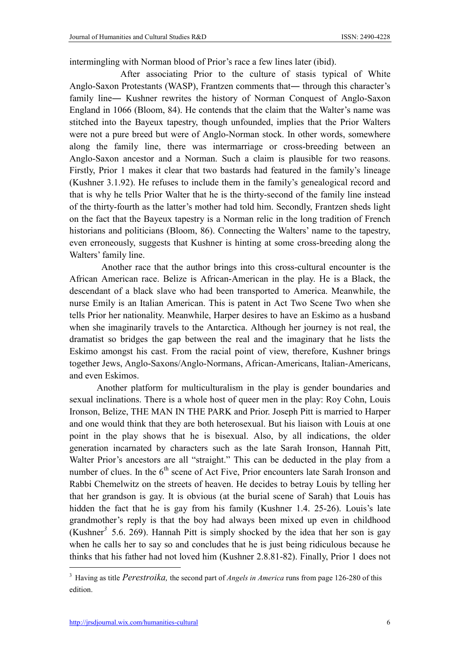intermingling with Norman blood of Prior's race a few lines later (ibid).

 After associating Prior to the culture of stasis typical of White Anglo-Saxon Protestants (WASP), Frantzen comments that― through this character's family line― Kushner rewrites the history of Norman Conquest of Anglo-Saxon England in 1066 (Bloom, 84). He contends that the claim that the Walter's name was stitched into the Bayeux tapestry, though unfounded, implies that the Prior Walters were not a pure breed but were of Anglo-Norman stock. In other words, somewhere along the family line, there was intermarriage or cross-breeding between an Anglo-Saxon ancestor and a Norman. Such a claim is plausible for two reasons. Firstly, Prior 1 makes it clear that two bastards had featured in the family's lineage (Kushner 3.1.92). He refuses to include them in the family's genealogical record and that is why he tells Prior Walter that he is the thirty-second of the family line instead of the thirty-fourth as the latter's mother had told him. Secondly, Frantzen sheds light on the fact that the Bayeux tapestry is a Norman relic in the long tradition of French historians and politicians (Bloom, 86). Connecting the Walters' name to the tapestry, even erroneously, suggests that Kushner is hinting at some cross-breeding along the Walters' family line.

Another race that the author brings into this cross-cultural encounter is the African American race. Belize is African-American in the play. He is a Black, the descendant of a black slave who had been transported to America. Meanwhile, the nurse Emily is an Italian American. This is patent in Act Two Scene Two when she tells Prior her nationality. Meanwhile, Harper desires to have an Eskimo as a husband when she imaginarily travels to the Antarctica. Although her journey is not real, the dramatist so bridges the gap between the real and the imaginary that he lists the Eskimo amongst his cast. From the racial point of view, therefore, Kushner brings together Jews, Anglo-Saxons/Anglo-Normans, African-Americans, Italian-Americans, and even Eskimos.

Another platform for multiculturalism in the play is gender boundaries and sexual inclinations. There is a whole host of queer men in the play: Roy Cohn, Louis Ironson, Belize, THE MAN IN THE PARK and Prior. Joseph Pitt is married to Harper and one would think that they are both heterosexual. But his liaison with Louis at one point in the play shows that he is bisexual. Also, by all indications, the older generation incarnated by characters such as the late Sarah Ironson, Hannah Pitt, Walter Prior's ancestors are all "straight." This can be deducted in the play from a number of clues. In the  $6<sup>th</sup>$  scene of Act Five, Prior encounters late Sarah Ironson and Rabbi Chemelwitz on the streets of heaven. He decides to betray Louis by telling her that her grandson is gay. It is obvious (at the burial scene of Sarah) that Louis has hidden the fact that he is gay from his family (Kushner 1.4. 25-26). Louis's late grandmother's reply is that the boy had always been mixed up even in childhood (Kushner*<sup>3</sup>* 5.6. 269). Hannah Pitt is simply shocked by the idea that her son is gay when he calls her to say so and concludes that he is just being ridiculous because he thinks that his father had not loved him (Kushner 2.8.81-82). Finally, Prior 1 does not

 <sup>3</sup> Having as title *Perestroika,* the second part of *Angels in America* runs from page 126-280 of this edition.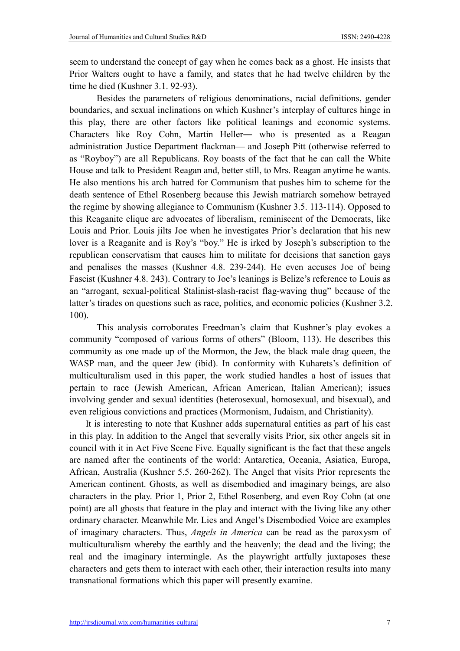seem to understand the concept of gay when he comes back as a ghost. He insists that Prior Walters ought to have a family, and states that he had twelve children by the time he died (Kushner 3.1. 92-93).

Besides the parameters of religious denominations, racial definitions, gender boundaries, and sexual inclinations on which Kushner's interplay of cultures hinge in this play, there are other factors like political leanings and economic systems. Characters like Roy Cohn, Martin Heller― who is presented as a Reagan administration Justice Department flackman— and Joseph Pitt (otherwise referred to as "Royboy") are all Republicans. Roy boasts of the fact that he can call the White House and talk to President Reagan and, better still, to Mrs. Reagan anytime he wants. He also mentions his arch hatred for Communism that pushes him to scheme for the death sentence of Ethel Rosenberg because this Jewish matriarch somehow betrayed the regime by showing allegiance to Communism (Kushner 3.5. 113-114). Opposed to this Reaganite clique are advocates of liberalism, reminiscent of the Democrats, like Louis and Prior. Louis jilts Joe when he investigates Prior's declaration that his new lover is a Reaganite and is Roy's "boy." He is irked by Joseph's subscription to the republican conservatism that causes him to militate for decisions that sanction gays and penalises the masses (Kushner 4.8. 239-244). He even accuses Joe of being Fascist (Kushner 4.8. 243). Contrary to Joe's leanings is Belize's reference to Louis as an "arrogant, sexual-political Stalinist-slash-racist flag-waving thug" because of the latter's tirades on questions such as race, politics, and economic policies (Kushner 3.2. 100).

This analysis corroborates Freedman's claim that Kushner's play evokes a community "composed of various forms of others" (Bloom, 113). He describes this community as one made up of the Mormon, the Jew, the black male drag queen, the WASP man, and the queer Jew (ibid). In conformity with Kuharets's definition of multiculturalism used in this paper, the work studied handles a host of issues that pertain to race (Jewish American, African American, Italian American); issues involving gender and sexual identities (heterosexual, homosexual, and bisexual), and even religious convictions and practices (Mormonism, Judaism, and Christianity).

It is interesting to note that Kushner adds supernatural entities as part of his cast in this play. In addition to the Angel that severally visits Prior, six other angels sit in council with it in Act Five Scene Five. Equally significant is the fact that these angels are named after the continents of the world: Antarctica, Oceania, Asiatica, Europa, African, Australia (Kushner 5.5. 260-262). The Angel that visits Prior represents the American continent. Ghosts, as well as disembodied and imaginary beings, are also characters in the play. Prior 1, Prior 2, Ethel Rosenberg, and even Roy Cohn (at one point) are all ghosts that feature in the play and interact with the living like any other ordinary character. Meanwhile Mr. Lies and Angel's Disembodied Voice are examples of imaginary characters. Thus, *Angels in America* can be read as the paroxysm of multiculturalism whereby the earthly and the heavenly; the dead and the living; the real and the imaginary intermingle. As the playwright artfully juxtaposes these characters and gets them to interact with each other, their interaction results into many transnational formations which this paper will presently examine.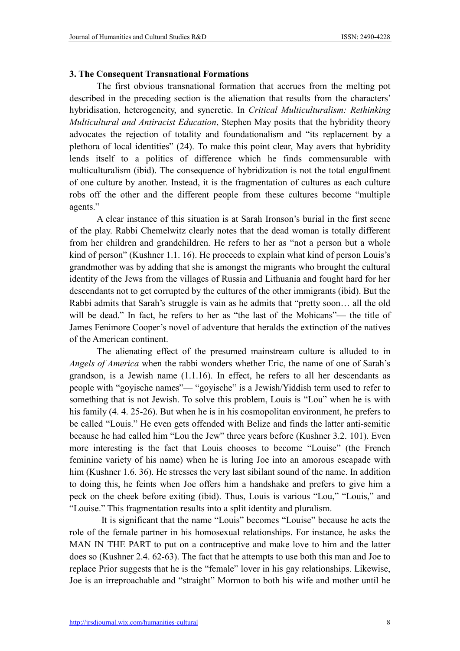#### 3. The Consequent Transnational Formations

The first obvious transnational formation that accrues from the melting pot described in the preceding section is the alienation that results from the characters' hybridisation, heterogeneity, and syncretic. In *Critical Multiculturalism: Rethinking Multicultural and Antiracist Education*, Stephen May posits that the hybridity theory advocates the rejection of totality and foundationalism and "its replacement by a plethora of local identities" (24). To make this point clear, May avers that hybridity lends itself to a politics of difference which he finds commensurable with multiculturalism (ibid). The consequence of hybridization is not the total engulfment of one culture by another. Instead, it is the fragmentation of cultures as each culture robs off the other and the different people from these cultures become "multiple agents."

A clear instance of this situation is at Sarah Ironson's burial in the first scene of the play. Rabbi Chemelwitz clearly notes that the dead woman is totally different from her children and grandchildren. He refers to her as "not a person but a whole kind of person" (Kushner 1.1. 16). He proceeds to explain what kind of person Louis's grandmother was by adding that she is amongst the migrants who brought the cultural identity of the Jews from the villages of Russia and Lithuania and fought hard for her descendants not to get corrupted by the cultures of the other immigrants (ibid). But the Rabbi admits that Sarah's struggle is vain as he admits that "pretty soon… all the old will be dead." In fact, he refers to her as "the last of the Mohicans"— the title of James Fenimore Cooper's novel of adventure that heralds the extinction of the natives of the American continent.

The alienating effect of the presumed mainstream culture is alluded to in *Angels of America* when the rabbi wonders whether Eric, the name of one of Sarah's grandson, is a Jewish name (1.1.16). In effect, he refers to all her descendants as people with "goyische names"— "goyische" is a Jewish/Yiddish term used to refer to something that is not Jewish. To solve this problem, Louis is "Lou" when he is with his family (4. 4. 25-26). But when he is in his cosmopolitan environment, he prefers to be called "Louis." He even gets offended with Belize and finds the latter anti-semitic because he had called him "Lou the Jew" three years before (Kushner 3.2. 101). Even more interesting is the fact that Louis chooses to become "Louise" (the French feminine variety of his name) when he is luring Joe into an amorous escapade with him (Kushner 1.6. 36). He stresses the very last sibilant sound of the name. In addition to doing this, he feints when Joe offers him a handshake and prefers to give him a peck on the cheek before exiting (ibid). Thus, Louis is various "Lou," "Louis," and "Louise." This fragmentation results into a split identity and pluralism.

It is significant that the name "Louis" becomes "Louise" because he acts the role of the female partner in his homosexual relationships. For instance, he asks the MAN IN THE PART to put on a contraceptive and make love to him and the latter does so (Kushner 2.4. 62-63). The fact that he attempts to use both this man and Joe to replace Prior suggests that he is the "female" lover in his gay relationships. Likewise, Joe is an irreproachable and "straight" Mormon to both his wife and mother until he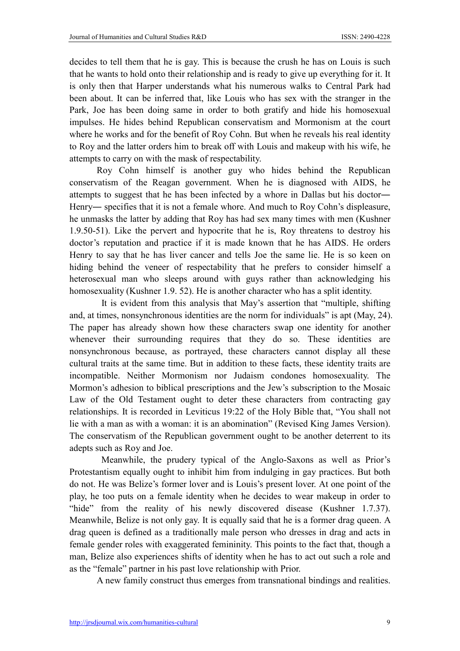decides to tell them that he is gay. This is because the crush he has on Louis is such that he wants to hold onto their relationship and is ready to give up everything for it. It is only then that Harper understands what his numerous walks to Central Park had been about. It can be inferred that, like Louis who has sex with the stranger in the Park, Joe has been doing same in order to both gratify and hide his homosexual impulses. He hides behind Republican conservatism and Mormonism at the court where he works and for the benefit of Roy Cohn. But when he reveals his real identity to Roy and the latter orders him to break off with Louis and makeup with his wife, he attempts to carry on with the mask of respectability.

Roy Cohn himself is another guy who hides behind the Republican conservatism of the Reagan government. When he is diagnosed with AIDS, he attempts to suggest that he has been infected by a whore in Dallas but his doctor― Henry― specifies that it is not a female whore. And much to Roy Cohn's displeasure, he unmasks the latter by adding that Roy has had sex many times with men (Kushner 1.9.50-51). Like the pervert and hypocrite that he is, Roy threatens to destroy his doctor's reputation and practice if it is made known that he has AIDS. He orders Henry to say that he has liver cancer and tells Joe the same lie. He is so keen on hiding behind the veneer of respectability that he prefers to consider himself a heterosexual man who sleeps around with guys rather than acknowledging his homosexuality (Kushner 1.9. 52). He is another character who has a split identity.

It is evident from this analysis that May's assertion that "multiple, shifting and, at times, nonsynchronous identities are the norm for individuals" is apt (May, 24). The paper has already shown how these characters swap one identity for another whenever their surrounding requires that they do so. These identities are nonsynchronous because, as portrayed, these characters cannot display all these cultural traits at the same time. But in addition to these facts, these identity traits are incompatible. Neither Mormonism nor Judaism condones homosexuality. The Mormon's adhesion to biblical prescriptions and the Jew's subscription to the Mosaic Law of the Old Testament ought to deter these characters from contracting gay relationships. It is recorded in Leviticus 19:22 of the Holy Bible that, "You shall not lie with a man as with a woman: it is an abomination" (Revised King James Version). The conservatism of the Republican government ought to be another deterrent to its adepts such as Roy and Joe.

Meanwhile, the prudery typical of the Anglo-Saxons as well as Prior's Protestantism equally ought to inhibit him from indulging in gay practices. But both do not. He was Belize's former lover and is Louis's present lover. At one point of the play, he too puts on a female identity when he decides to wear makeup in order to "hide" from the reality of his newly discovered disease (Kushner 1.7.37). Meanwhile, Belize is not only gay. It is equally said that he is a former drag queen. A drag queen is defined as a traditionally male person who dresses in drag and acts in female gender roles with exaggerated femininity. This points to the fact that, though a man, Belize also experiences shifts of identity when he has to act out such a role and as the "female" partner in his past love relationship with Prior.

A new family construct thus emerges from transnational bindings and realities.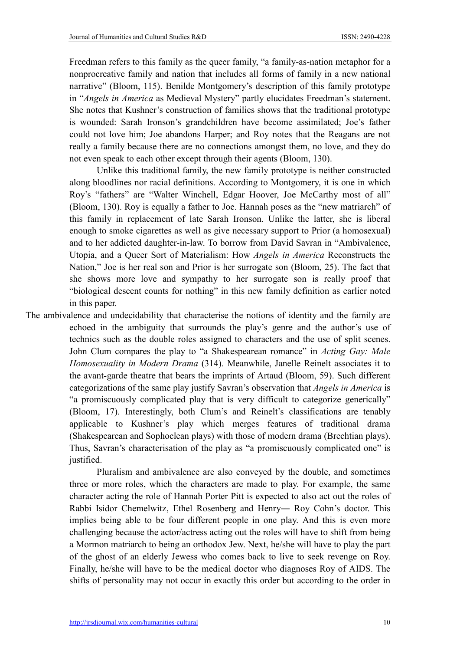Freedman refers to this family as the queer family, "a family-as-nation metaphor for a nonprocreative family and nation that includes all forms of family in a new national narrative" (Bloom, 115). Benilde Montgomery's description of this family prototype in "*Angels in America* as Medieval Mystery" partly elucidates Freedman's statement. She notes that Kushner's construction of families shows that the traditional prototype is wounded: Sarah Ironson's grandchildren have become assimilated; Joe's father could not love him; Joe abandons Harper; and Roy notes that the Reagans are not really a family because there are no connections amongst them, no love, and they do not even speak to each other except through their agents (Bloom, 130).

Unlike this traditional family, the new family prototype is neither constructed along bloodlines nor racial definitions. According to Montgomery, it is one in which Roy's "fathers" are "Walter Winchell, Edgar Hoover, Joe McCarthy most of all" (Bloom, 130). Roy is equally a father to Joe. Hannah poses as the "new matriarch" of this family in replacement of late Sarah Ironson. Unlike the latter, she is liberal enough to smoke cigarettes as well as give necessary support to Prior (a homosexual) and to her addicted daughter-in-law. To borrow from David Savran in "Ambivalence, Utopia, and a Queer Sort of Materialism: How *Angels in America* Reconstructs the Nation," Joe is her real son and Prior is her surrogate son (Bloom, 25). The fact that she shows more love and sympathy to her surrogate son is really proof that "biological descent counts for nothing" in this new family definition as earlier noted in this paper.

The ambivalence and undecidability that characterise the notions of identity and the family are echoed in the ambiguity that surrounds the play's genre and the author's use of technics such as the double roles assigned to characters and the use of split scenes. John Clum compares the play to "a Shakespearean romance" in *Acting Gay: Male Homosexuality in Modern Drama* (314). Meanwhile, Janelle Reinelt associates it to the avant-garde theatre that bears the imprints of Artaud (Bloom, 59). Such different categorizations of the same play justify Savran's observation that *Angels in America* is "a promiscuously complicated play that is very difficult to categorize generically" (Bloom, 17). Interestingly, both Clum's and Reinelt's classifications are tenably applicable to Kushner's play which merges features of traditional drama (Shakespearean and Sophoclean plays) with those of modern drama (Brechtian plays). Thus, Savran's characterisation of the play as "a promiscuously complicated one" is justified.

> Pluralism and ambivalence are also conveyed by the double, and sometimes three or more roles, which the characters are made to play. For example, the same character acting the role of Hannah Porter Pitt is expected to also act out the roles of Rabbi Isidor Chemelwitz, Ethel Rosenberg and Henry― Roy Cohn's doctor. This implies being able to be four different people in one play. And this is even more challenging because the actor/actress acting out the roles will have to shift from being a Mormon matriarch to being an orthodox Jew. Next, he/she will have to play the part of the ghost of an elderly Jewess who comes back to live to seek revenge on Roy. Finally, he/she will have to be the medical doctor who diagnoses Roy of AIDS. The shifts of personality may not occur in exactly this order but according to the order in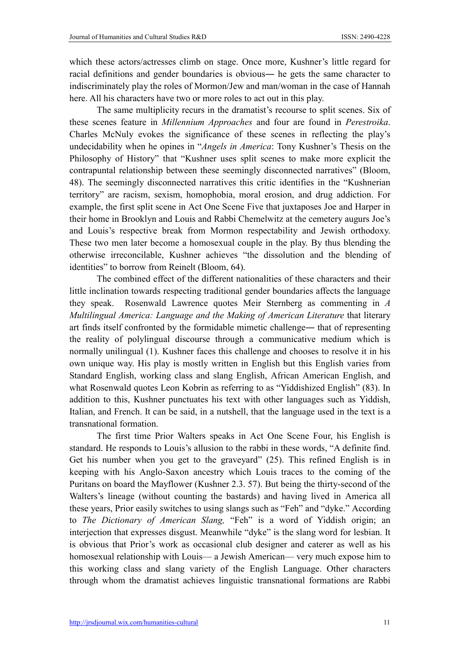which these actors/actresses climb on stage. Once more, Kushner's little regard for racial definitions and gender boundaries is obvious― he gets the same character to indiscriminately play the roles of Mormon/Jew and man/woman in the case of Hannah here. All his characters have two or more roles to act out in this play.

The same multiplicity recurs in the dramatist's recourse to split scenes. Six of these scenes feature in *Millennium Approaches* and four are found in *Perestroika*. Charles McNuly evokes the significance of these scenes in reflecting the play's undecidability when he opines in "*Angels in America*: Tony Kushner's Thesis on the Philosophy of History" that "Kushner uses split scenes to make more explicit the contrapuntal relationship between these seemingly disconnected narratives" (Bloom, 48). The seemingly disconnected narratives this critic identifies in the "Kushnerian territory" are racism, sexism, homophobia, moral erosion, and drug addiction. For example, the first split scene in Act One Scene Five that juxtaposes Joe and Harper in their home in Brooklyn and Louis and Rabbi Chemelwitz at the cemetery augurs Joe's and Louis's respective break from Mormon respectability and Jewish orthodoxy. These two men later become a homosexual couple in the play. By thus blending the otherwise irreconcilable, Kushner achieves "the dissolution and the blending of identities" to borrow from Reinelt (Bloom, 64).

The combined effect of the different nationalities of these characters and their little inclination towards respecting traditional gender boundaries affects the language they speak. Rosenwald Lawrence quotes Meir Sternberg as commenting in *A Multilingual America: Language and the Making of American Literature* that literary art finds itself confronted by the formidable mimetic challenge― that of representing the reality of polylingual discourse through a communicative medium which is normally unilingual (1). Kushner faces this challenge and chooses to resolve it in his own unique way. His play is mostly written in English but this English varies from Standard English, working class and slang English, African American English, and what Rosenwald quotes Leon Kobrin as referring to as "Yiddishized English" (83). In addition to this, Kushner punctuates his text with other languages such as Yiddish, Italian, and French. It can be said, in a nutshell, that the language used in the text is a transnational formation.

The first time Prior Walters speaks in Act One Scene Four, his English is standard. He responds to Louis's allusion to the rabbi in these words, "A definite find. Get his number when you get to the graveyard" (25). This refined English is in keeping with his Anglo-Saxon ancestry which Louis traces to the coming of the Puritans on board the Mayflower (Kushner 2.3. 57). But being the thirty-second of the Walters's lineage (without counting the bastards) and having lived in America all these years, Prior easily switches to using slangs such as "Feh" and "dyke." According to *The Dictionary of American Slang,* "Feh" is a word of Yiddish origin; an interjection that expresses disgust. Meanwhile "dyke" is the slang word for lesbian. It is obvious that Prior's work as occasional club designer and caterer as well as his homosexual relationship with Louis— a Jewish American— very much expose him to this working class and slang variety of the English Language. Other characters through whom the dramatist achieves linguistic transnational formations are Rabbi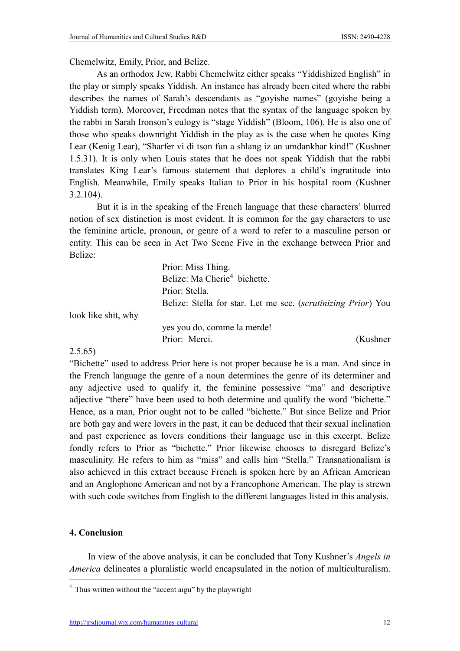Chemelwitz, Emily, Prior, and Belize.

As an orthodox Jew, Rabbi Chemelwitz either speaks "Yiddishized English" in the play or simply speaks Yiddish. An instance has already been cited where the rabbi describes the names of Sarah's descendants as "goyishe names" (goyishe being a Yiddish term). Moreover, Freedman notes that the syntax of the language spoken by the rabbi in Sarah Ironson's eulogy is "stage Yiddish" (Bloom, 106). He is also one of those who speaks downright Yiddish in the play as is the case when he quotes King Lear (Kenig Lear), "Sharfer vi di tson fun a shlang iz an umdankbar kind!" (Kushner 1.5.31). It is only when Louis states that he does not speak Yiddish that the rabbi translates King Lear's famous statement that deplores a child's ingratitude into English. Meanwhile, Emily speaks Italian to Prior in his hospital room (Kushner 3.2.104).

But it is in the speaking of the French language that these characters' blurred notion of sex distinction is most evident. It is common for the gay characters to use the feminine article, pronoun, or genre of a word to refer to a masculine person or entity. This can be seen in Act Two Scene Five in the exchange between Prior and Belize:

| Belize: Stella for star. Let me see. <i>(scrutinizing Prior)</i> You |
|----------------------------------------------------------------------|
|                                                                      |
|                                                                      |
| (Kushner)                                                            |
|                                                                      |

## 2.5.65)

"Bichette" used to address Prior here is not proper because he is a man. And since in the French language the genre of a noun determines the genre of its determiner and any adjective used to qualify it, the feminine possessive "ma" and descriptive adjective "there" have been used to both determine and qualify the word "bichette." Hence, as a man, Prior ought not to be called "bichette." But since Belize and Prior are both gay and were lovers in the past, it can be deduced that their sexual inclination and past experience as lovers conditions their language use in this excerpt. Belize fondly refers to Prior as "bichette." Prior likewise chooses to disregard Belize's masculinity. He refers to him as "miss" and calls him "Stella." Transnationalism is also achieved in this extract because French is spoken here by an African American and an Anglophone American and not by a Francophone American. The play is strewn with such code switches from English to the different languages listed in this analysis.

## 4. Conclusion

In view of the above analysis, it can be concluded that Tony Kushner's *Angels in America* delineates a pluralistic world encapsulated in the notion of multiculturalism.

 <sup>4</sup> Thus written without the "accent aigu" by the playwright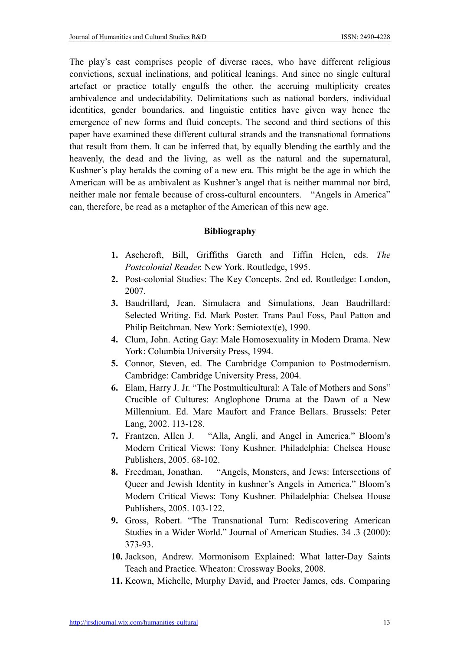The play's cast comprises people of diverse races, who have different religious convictions, sexual inclinations, and political leanings. And since no single cultural artefact or practice totally engulfs the other, the accruing multiplicity creates ambivalence and undecidability. Delimitations such as national borders, individual identities, gender boundaries, and linguistic entities have given way hence the emergence of new forms and fluid concepts. The second and third sections of this paper have examined these different cultural strands and the transnational formations that result from them. It can be inferred that, by equally blending the earthly and the heavenly, the dead and the living, as well as the natural and the supernatural, Kushner's play heralds the coming of a new era. This might be the age in which the American will be as ambivalent as Kushner's angel that is neither mammal nor bird, neither male nor female because of cross-cultural encounters. "Angels in America" can, therefore, be read as a metaphor of the American of this new age.

## Bibliography

- 1. Aschcroft, Bill, Griffiths Gareth and Tiffin Helen, eds. *The Postcolonial Reader.* New York. Routledge, 1995.
- 2. Post-colonial Studies: The Key Concepts. 2nd ed. Routledge: London, 2007.
- 3. Baudrillard, Jean. Simulacra and Simulations, Jean Baudrillard: Selected Writing. Ed. Mark Poster. Trans Paul Foss, Paul Patton and Philip Beitchman. New York: Semiotext(e), 1990.
- 4. Clum, John. Acting Gay: Male Homosexuality in Modern Drama. New York: Columbia University Press, 1994.
- 5. Connor, Steven, ed. The Cambridge Companion to Postmodernism. Cambridge: Cambridge University Press, 2004.
- 6. Elam, Harry J. Jr. "The Postmulticultural: A Tale of Mothers and Sons" Crucible of Cultures: Anglophone Drama at the Dawn of a New Millennium. Ed. Marc Maufort and France Bellars. Brussels: Peter Lang, 2002. 113-128.
- 7. Frantzen, Allen J. "Alla, Angli, and Angel in America." Bloom's Modern Critical Views: Tony Kushner. Philadelphia: Chelsea House Publishers, 2005. 68-102.
- 8. Freedman, Jonathan. "Angels, Monsters, and Jews: Intersections of Queer and Jewish Identity in kushner's Angels in America." Bloom's Modern Critical Views: Tony Kushner. Philadelphia: Chelsea House Publishers, 2005. 103-122.
- 9. Gross, Robert. "The Transnational Turn: Rediscovering American Studies in a Wider World." Journal of American Studies. 34 .3 (2000): 373-93.
- 10. Jackson, Andrew. Mormonisom Explained: What latter-Day Saints Teach and Practice. Wheaton: Crossway Books, 2008.
- 11. Keown, Michelle, Murphy David, and Procter James, eds. Comparing